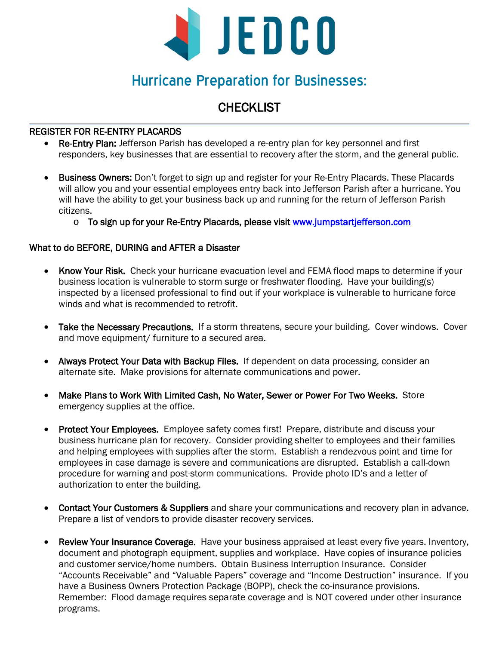

# Hurricane Preparation for Businesses:

# **CHECKLIST**

### REGISTER FOR RE-ENTRY PLACARDS

- Re-Entry Plan: Jefferson Parish has developed a re-entry plan for key personnel and first responders, key businesses that are essential to recovery after the storm, and the general public.
- Business Owners: Don't forget to sign up and register for your Re-Entry Placards. These Placards will allow you and your essential employees entry back into Jefferson Parish after a hurricane. You will have the ability to get your business back up and running for the return of Jefferson Parish citizens.
	- o To sign up for your Re-Entry Placards, please visit www.jumpstartjefferson.com

## What to do BEFORE, DURING and AFTER a Disaster

- Know Your Risk. Check your hurricane evacuation level and FEMA flood maps to determine if your business location is vulnerable to storm surge or freshwater flooding. Have your building(s) inspected by a licensed professional to find out if your workplace is vulnerable to hurricane force winds and what is recommended to retrofit.
- Take the Necessary Precautions. If a storm threatens, secure your building. Cover windows. Cover and move equipment/ furniture to a secured area.
- Always Protect Your Data with Backup Files. If dependent on data processing, consider an alternate site. Make provisions for alternate communications and power.
- Make Plans to Work With Limited Cash, No Water, Sewer or Power For Two Weeks. Store emergency supplies at the office.
- Protect Your Employees. Employee safety comes first! Prepare, distribute and discuss your business hurricane plan for recovery. Consider providing shelter to employees and their families and helping employees with supplies after the storm. Establish a rendezvous point and time for employees in case damage is severe and communications are disrupted. Establish a call-down procedure for warning and post-storm communications. Provide photo ID's and a letter of authorization to enter the building.
- Contact Your Customers & Suppliers and share your communications and recovery plan in advance. Prepare a list of vendors to provide disaster recovery services.
- Review Your Insurance Coverage. Have your business appraised at least every five years. Inventory, document and photograph equipment, supplies and workplace. Have copies of insurance policies and customer service/home numbers. Obtain Business Interruption Insurance. Consider "Accounts Receivable" and "Valuable Papers" coverage and "Income Destruction" insurance. If you have a Business Owners Protection Package (BOPP), check the co-insurance provisions. Remember: Flood damage requires separate coverage and is NOT covered under other insurance programs.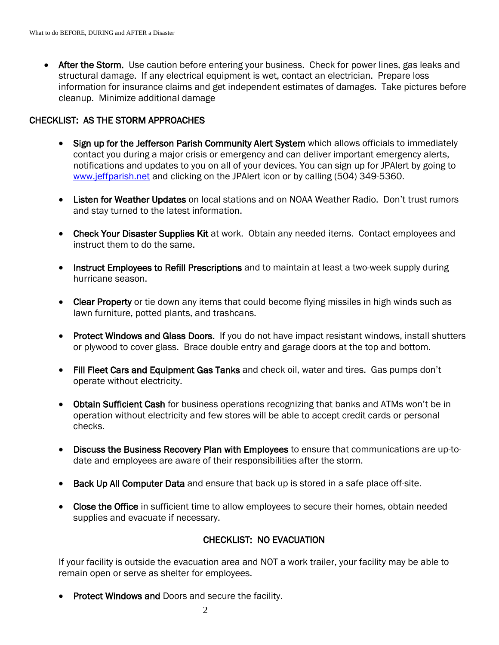• After the Storm. Use caution before entering your business. Check for power lines, gas leaks and structural damage. If any electrical equipment is wet, contact an electrician. Prepare loss information for insurance claims and get independent estimates of damages. Take pictures before cleanup. Minimize additional damage

#### CHECKLIST: AS THE STORM APPROACHES

- Sign up for the Jefferson Parish Community Alert System which allows officials to immediately contact you during a major crisis or emergency and can deliver important emergency alerts, notifications and updates to you on all of your devices. You can sign up for JPAlert by going to [www.jeffparish.net](http://www.jeffparish.net/) and clicking on the JPAlert icon or by calling (504) 349-5360.
- Listen for Weather Updates on local stations and on NOAA Weather Radio. Don't trust rumors and stay turned to the latest information.
- Check Your Disaster Supplies Kit at work. Obtain any needed items. Contact employees and instruct them to do the same.
- Instruct Employees to Refill Prescriptions and to maintain at least a two-week supply during hurricane season.
- Clear Property or tie down any items that could become flying missiles in high winds such as lawn furniture, potted plants, and trashcans.
- Protect Windows and Glass Doors. If you do not have impact resistant windows, install shutters or plywood to cover glass. Brace double entry and garage doors at the top and bottom.
- Fill Fleet Cars and Equipment Gas Tanks and check oil, water and tires. Gas pumps don't operate without electricity.
- Obtain Sufficient Cash for business operations recognizing that banks and ATMs won't be in operation without electricity and few stores will be able to accept credit cards or personal checks.
- Discuss the Business Recovery Plan with Employees to ensure that communications are up-todate and employees are aware of their responsibilities after the storm.
- Back Up All Computer Data and ensure that back up is stored in a safe place off-site.
- Close the Office in sufficient time to allow employees to secure their homes, obtain needed supplies and evacuate if necessary.

# CHECKLIST: NO EVACUATION

If your facility is outside the evacuation area and NOT a work trailer, your facility may be able to remain open or serve as shelter for employees.

**Protect Windows and Doors and secure the facility.**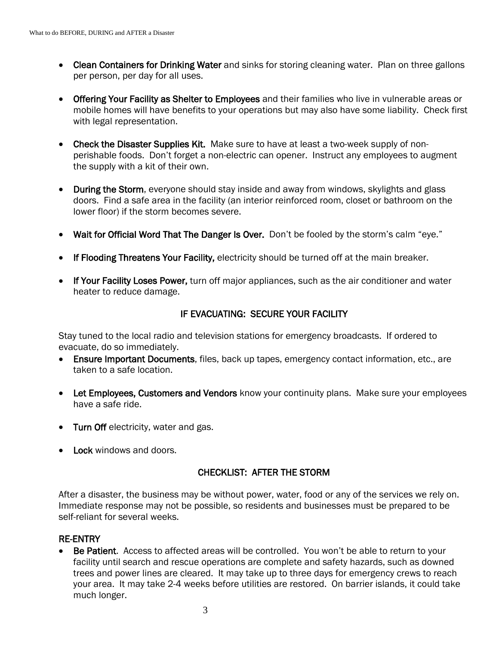- Clean Containers for Drinking Water and sinks for storing cleaning water. Plan on three gallons per person, per day for all uses.
- Offering Your Facility as Shelter to Employees and their families who live in vulnerable areas or mobile homes will have benefits to your operations but may also have some liability. Check first with legal representation.
- Check the Disaster Supplies Kit. Make sure to have at least a two-week supply of nonperishable foods. Don't forget a non-electric can opener. Instruct any employees to augment the supply with a kit of their own.
- During the Storm, everyone should stay inside and away from windows, skylights and glass doors. Find a safe area in the facility (an interior reinforced room, closet or bathroom on the lower floor) if the storm becomes severe.
- Wait for Official Word That The Danger Is Over. Don't be fooled by the storm's calm "eye."
- If Flooding Threatens Your Facility, electricity should be turned off at the main breaker.
- If Your Facility Loses Power, turn off major appliances, such as the air conditioner and water heater to reduce damage.

#### IF EVACUATING: SECURE YOUR FACILITY

Stay tuned to the local radio and television stations for emergency broadcasts. If ordered to evacuate, do so immediately.

- Ensure Important Documents, files, back up tapes, emergency contact information, etc., are taken to a safe location.
- Let Employees, Customers and Vendors know your continuity plans. Make sure your employees have a safe ride.
- Turn Off electricity, water and gas.
- Lock windows and doors.

#### CHECKLIST: AFTER THE STORM

After a disaster, the business may be without power, water, food or any of the services we rely on. Immediate response may not be possible, so residents and businesses must be prepared to be self-reliant for several weeks.

#### RE-ENTRY

Be Patient. Access to affected areas will be controlled. You won't be able to return to your facility until search and rescue operations are complete and safety hazards, such as downed trees and power lines are cleared. It may take up to three days for emergency crews to reach your area. It may take 2-4 weeks before utilities are restored. On barrier islands, it could take much longer.